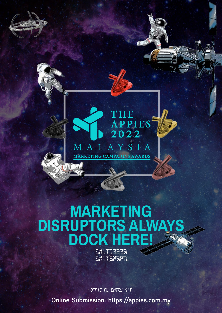

**AGE** 

## **MARKETING DISRUPTORS ALWAYS DOCK HERE!** *RESETTING MARKETING*

**Online Submission: [https://a](https://appies.com.my)ppies.com.my** *OFFICIAL ENTRY KIT*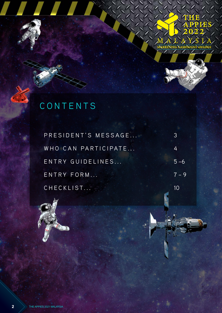

# **CONTENTS**

,,,,,

| PRESIDENT'S MESSAGE |         |
|---------------------|---------|
| WHO CAN PARTICIPATE | 4       |
| ENTRY GUIDELINES    | $5 - 6$ |
| ENTRY FORM          | $7 - 9$ |
| CHECKLIST           | 10      |



**2** THE APPIES 2021 MALAYSIA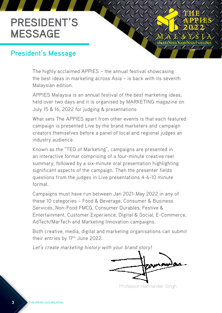## **PRESIDENT'S MESSAGE**

### **President's Message**

The highly acclaimed APPIES – the annual festival showcasing the best ideas in marketing across Asia – is back with its seventh Malaysian edition.

APPIES Malaysia is an annual festival of the best marketing ideas, held over two days and it is organised by MARKETING magazine on July 15 & 16, 2022 for judging & presentations

What sets The APPIES apart from other events is that each featured campaign is presented Live by the brand marketers and campaign creators themselves before a panel of local and regional judges an industry audience.

Known as the "TED of Marketing", campaigns are presented in an interactive format comprising of a four-minute creative reel summary, followed by a six-minute oral presentation highlighting significant aspects of the campaign. Then the presenter fields questions from the judges in Live presentations 4-6-10 minute format.

Campaigns must have run between Jan 2021-May 2022 in any of these 10 categories – Food & Beverage, Consumer & Business Services, Non-Food FMCG, Consumer Durables, Festive & Entertainment, Customer Experience, Digital & Social, E-Commerce, AdTech/MarTech and Marketing Innovation campaigns.

Both creative, media, digital and marketing organisations can submit their entries by 17<sup>th</sup> June 2022.

Let's create marketing history with your brand story!

Professor Harmandar Singh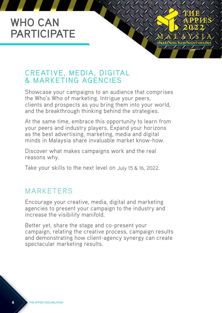## **WHO CAN PARTICIPATE**

### CREATIVE, MEDIA, DIGITAL & MARKETING AGENCIES

Showcase your campaigns to an audience that comprises the Who's Who of marketing. Intrigue your peers, clients and prospects as you bring them into your world, and the breakthrough thinking behind the strategies.

At the same time, embrace this opportunity to learn from your peers and industry players. Expand your horizons as the best advertising, marketing, media and digital minds in Malaysia share invaluable market know-how.

Discover what makes campaigns work and the real reasons why.

Take your skills to the next level on July 15 & 16, 2022.

### MARKETERS

Encourage your creative, media, digital and marketing agencies to present your campaign to the industry and increase the visibility manifold.

Better yet, share the stage and co-present your campaign, relating the creative process, campaign results and demonstrating how client-agency synergy can create spectacular marketing results.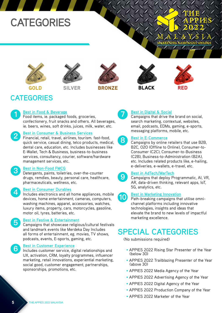## **CATEGORIES**













### **CATEGORIES**

#### **Best in Food & Beverage 1**

Food items, ie. packaged foods, groceries, confectionery, fruit snacks and others. All beverages, ie. beers, wines, soft drinks, juices, milk, water, etc.

#### **Best in Consumer & Business Services**

Financial, retail, travel, airlines, tourism. fast-food, quick service, casual dining, telco products, medical, dental care, education, etc. Includes businesses like E-Wallet, Tech & Business, business-to-business services, consultancy, courier, software/hardware management services, etc.

### **3**

**2**

**4**

**5**

**6**

**Best in Non-Food FMCG**

Detergents, paints, toiletries, over-the-counter drugs, remdies, beauty, personal care, healthcare, pharmaceuticals, wellness, etc.

#### **Best in Consumer Durables**

Includes electronics and all home appliances, mobile devices, home entertainment, cameras, computers, washing machines, apparel, accessories, watches, luxury items, property, cars, motorcycles, gasoline, motor oil, tyres, batteries, etc.

#### **Best in Festive & Entertainment**

Campaigns that showcase religious/cultural festivals and landmark events like Merdeka Day Includes all forms of entertainment, eg. movies, TV shows, podcasts, events, E-sports, gaming, etc.

#### **Best in Customer Experience**

Includes customer service, digital relationships and UX, activation, CRM, loyalty programmes, influencer marketing, retail innovations, experiential marketing, social good, customer engagement, partnerships, sponsorships, promotions, etc.



**9**

**10**

#### **Best in Digital & Social**

Campaigns that drive the brand on social, search marketing, contextual, websites, email, podcasts, EDMs, gaming, e-sports, messaging platforms, mobile, etc.

#### **Best in E-Commerce 8**

Campaigns by online retailers that use B2B, B2C, O2O (Offline to Online), Consumer-to-Consumer (C2C), Consumer-to-Business (C2B), Business-to-Administration (B2A), etc. Includes related products like, e-hailing, e-deliveries, e-wallets, e-travel, etc.

#### **Best in AdTech/MarTech**

Campaigns that deploy Programmatic, AI, VR, AR, data-driven thinking, relevant apps, IoT, 5G, analytics, etc.

#### **Best in Marketing Innovation**

Path-breaking campaigns that utilise omnichannel platforms including innovative technologies, insights and ideas that elevate the brand to new levels of impactful marketing excellence.

## **SPECIAL CATEGORIES**

(No submissions required)

- APPIES 2022 Rising Star Presenter of the Year (below 30)
- APPIES 2022 Trailblazing Presenter of the Year (above 30)
- APPIES 2022 Media Agency of the Year
- APPIES 2022 Advertising Agency of the Year
- APPIES 2022 Digital Agency of the Year
- APPIES 2022 Production Company of the Year
- APPIES 2022 Marketer of the Year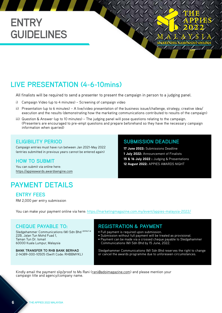## **ENTRY GUIDELINES**

### **LIVE PRESENTATION (4-6-10mins)**

All finalists will be required to send a presenter to present the campaign in person to a judging panel.

- i) Campaign Video (up to 4 minutes) Screening of campaign video
- ii) Presentation (up to 6 minutes) A live/video presentation of the business issue/challenge, strategy, creative idea/ execution and the results (demonstrating how the marketing communications contributed to results of the campaign)
- iii) Question & Answer (up to 10 minutes) The judging panel will pose questions relating to the campaign. (Presenters are encouraged to pre-empt questions and prepare beforehand so they have the necessary campaign information when queried)

#### **ELIGIBILITY PERIOD SUBMISSION DEADLINE**

Campaign entries must have run between Jan 2021-May 2022 (entries submitted in previous years cannot be entered again)

#### **HOW TO SUBMIT**

You can submit via online here: <https://appieawards.awardsengine.com>

### **PAYMENT DETAILS**

#### **ENTRY FEES**

RM 2,000 per entry submission

You can make your payment online via here: [https://marketingmagazine.com.my/event/appies-malaysia-2022/](https://marketingmagazine.com.my/event/appies-malaysia-2021/)

Sledgehammer Communications (M) Sdn Bhd 289967-W 22B, Jalan Tun Mohd Fuad 1, Taman Tun Dr. Ismail 60000 Kuala Lumpur, Malaysia

**BANK TRANSFER TO RHB BANK BERHAD** 2-14389-000-10505 (Swift Code: RHBBMYKL)

#### **CHEQUE PAYABLE TO: REGISTRATION & PAYMENT**

- Full payment is required upon submission.
- Submission without full payment will be treated as provisional.
- Payment can be made via a crossed cheque payable to Sledgehammer Communications (M) Sdn Bhd by 15 June, 2022.

17 June 2022: Submissions Deadline 1 July 2022: Announcement of Finalists 15 & 16 July 2022 : Judging & Presentations 12 August 2022: APPIES AWARDS NIGHT

**MARKETING CAM** 

Sledgehammer Communications (M) Sdn Bhd reserves the right to change or cancel the awards programme due to unforeseen circumstances.

Kindly email the payment slip/proof to Ms Rani ([rani@adoimagazine.com](mailto:rani@adoimagazine.com)) and please mention your campaign title and agency/company name.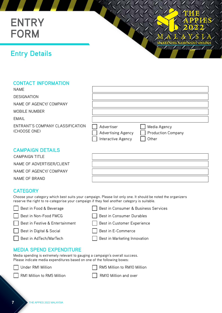## **ENTRY FORM**

### **Entry Details**

#### **CONTACT INFORMATION**

| <b>NAME</b>                                      |                                                               |                                                    |
|--------------------------------------------------|---------------------------------------------------------------|----------------------------------------------------|
| <b>DESIGNATION</b>                               |                                                               |                                                    |
| NAME OF AGENCY/ COMPANY                          |                                                               |                                                    |
| MOBILE NUMBER                                    |                                                               |                                                    |
| <b>EMAIL</b>                                     |                                                               |                                                    |
| ENTRANT'S COMPANY CLASSIFICATION<br>(CHOOSE ONE) | Advertiser<br><b>Advertising Agency</b><br>Interactive Agency | Media Agency<br><b>Production Company</b><br>Other |
| <b>CAMPAIGN DETAILS</b>                          |                                                               |                                                    |

#### **CAMPAIGN DETAILS**

CAMPAIGN TITLE NAME OF ADVERTISER/CLIENT NAME OF AGENCY/ COMPANY NAME OF BRAND

**MARKETING** 

### **CATEGORY**

Choose your category which best suits your campaign. Please list only one. It should be noted the organizers reserve the right to re-categorise your campaign if they feel another category is suitable.

| Best in Food & Beverage         | Best in Consumer & Business Services |
|---------------------------------|--------------------------------------|
| Best in Non-Food FMCG           | Best in Consumer Durables            |
| Best in Festive & Entertainment | Best in Customer Experience          |
| Best in Digital & Social        | Best in E-Commerce                   |
| Best in AdTech/MarTech          | Best in Marketing Innovation         |
| <b>MEDIA SPEND EXPENDITURE</b>  |                                      |

#### **MEDIA SPEND EXPENDITURE**

Media spending is extremely relevant to gauging a campaign's overall success. Please indicate media expenditures based on one of the following boxes:

Under RM1 Million **RM5** RM5 Million to RM10 Million



RM1 Million to RM5 Million **RM10** RM10 Million and over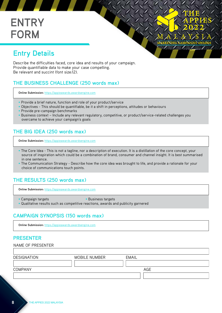## **ENTRY FORM**



Describe the difficulties faced, core idea and results of your campaign. Provide quantifiable data to make your case compelling. Be relevant and succint (font size:12).

#### **THE BUSINESS CHALLENGE (250 words max)**

**Online Submission:** <https://appieawards.awardsengine.com>

- Provide a brief nature, function and role of your product/service
- Objectives This should be quantifiable, be it a shift in perceptions, attitudes or behaviours
- Provide pre-campaign benchmarks
- Business context Include any relevant regulatory, competitive, or product/service-related challenges you overcame to achieve your campaign's goals

**MARKETING** 

#### **THE BIG IDEA (250 words max)**

**Online Submission:** <https://appieawards.awardsengine.com>

- The Core Idea This is not a tagline, nor a description of execution. It is a distillation of the core concept, your source of inspiration which could be a combination of brand, consumer and channel insight. It is best summarised in one sentence.
- The Communication Strategy Describe how the core idea was brought to life, and provide a rationale for your choice of communications touch points.

#### **THE RESULTS (250 words max)**

**Online Submission:** <https://appieawards.awardsengine.com>

- Campaign targets Business targets
- 
- Qualitative results such as competitive reactions, awards and publicity garnered

#### **CAMPAIGN SYNOPSIS (150 words max)**

**Online Submission:** <https://appieawards.awardsengine.com>

#### **PRESENTER**

| NAME OF PRESENTER  |               |       |  |
|--------------------|---------------|-------|--|
|                    |               |       |  |
| <b>DESIGNATION</b> | MOBILE NUMBER | EMAIL |  |
|                    |               |       |  |
| <b>COMPANY</b>     |               | AGE   |  |
|                    |               |       |  |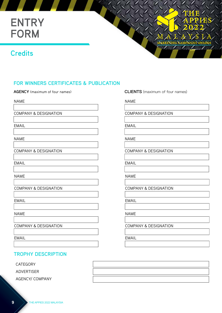## **ENTRY FORM**

### **Credits**



NAME

COMPANY & DESIGNATION

EMAIL

NAME

COMPANY & DESIGNATION

EMAIL

NAME

COMPANY & DESIGNATION

EMAIL

NAME

COMPANY & DESIGNATION

EMAIL

**TROPHY DESCRIPTION**

CATEGORY

ADVERTISER

AGENCY/ COMPANY

**AGENCY** (maximum of four names) **CLIENTS** (maximum of four names)

**MARKETING** 

NAME

COMPANY & DESIGNATION

EMAIL

NAME

COMPANY & DESIGNATION

EMAIL

NAME

COMPANY & DESIGNATION

EMAIL

NAME

COMPANY & DESIGNATION

EMAIL

**9** THE APPIES 2022 MALAYSIA